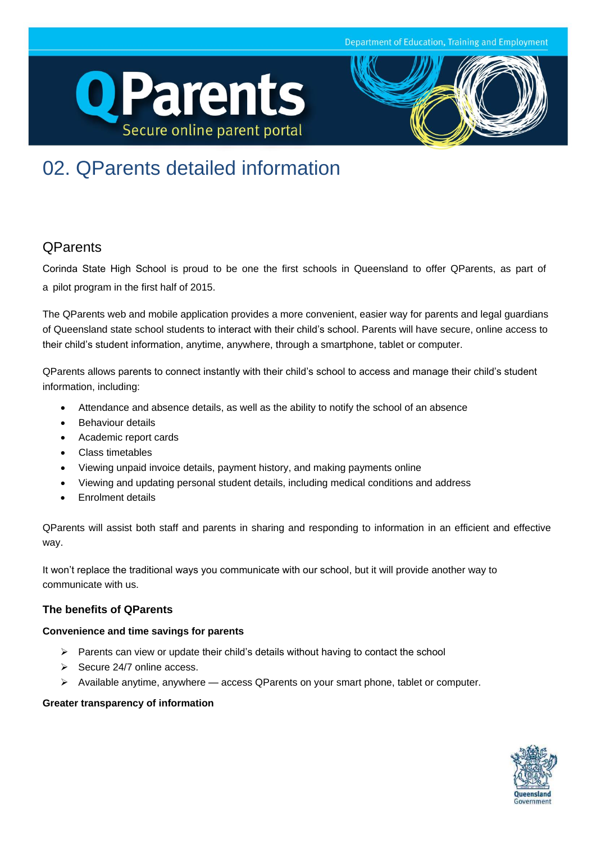Department of Education, Training and Employment





# 02. QParents detailed information

## **QParents**

Corinda State High School is proud to be one the first schools in Queensland to offer QParents, as part of a pilot program in the first half of 2015.

The QParents web and mobile application provides a more convenient, easier way for parents and legal guardians of Queensland state school students to interact with their child's school. Parents will have secure, online access to their child's student information, anytime, anywhere, through a smartphone, tablet or computer.

QParents allows parents to connect instantly with their child's school to access and manage their child's student information, including:

- Attendance and absence details, as well as the ability to notify the school of an absence
- Behaviour details
- Academic report cards
- Class timetables
- Viewing unpaid invoice details, payment history, and making payments online
- Viewing and updating personal student details, including medical conditions and address
- Enrolment details

QParents will assist both staff and parents in sharing and responding to information in an efficient and effective way.

It won't replace the traditional ways you communicate with our school, but it will provide another way to communicate with us.

## **The benefits of QParents**

## **Convenience and time savings for parents**

- $\triangleright$  Parents can view or update their child's details without having to contact the school
- $\triangleright$  Secure 24/7 online access.
- $\triangleright$  Available anytime, anywhere access QParents on your smart phone, tablet or computer.

## **Greater transparency of information**

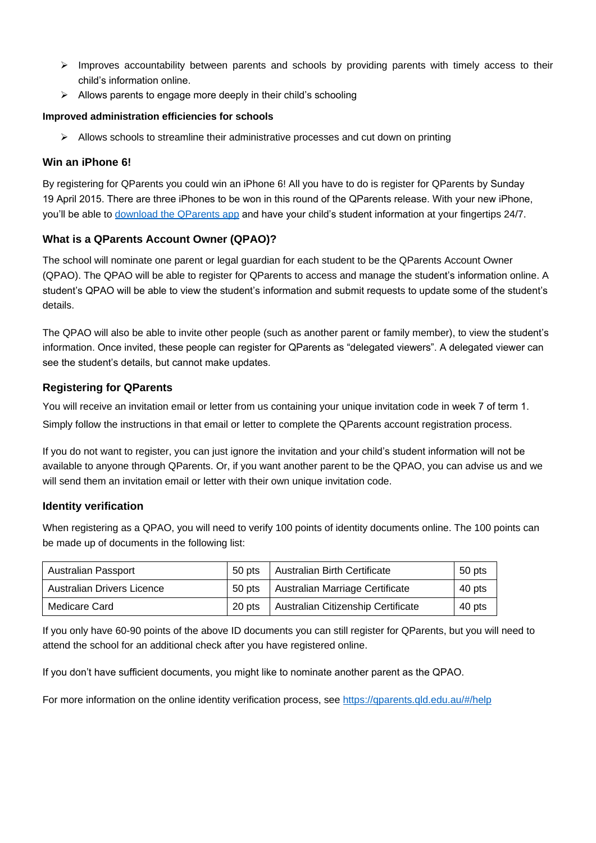- $\triangleright$  Improves accountability between parents and schools by providing parents with timely access to their child's information online.
- $\triangleright$  Allows parents to engage more deeply in their child's schooling

#### **Improved administration efficiencies for schools**

 $\triangleright$  Allows schools to streamline their administrative processes and cut down on printing

## **Win an iPhone 6!**

By registering for QParents you could win an iPhone 6! All you have to do is register for QParents by Sunday 19 April 2015. There are three iPhones to be won in this round of the QParents release. With your new iPhone, you'll [be able to download the QPare](https://itunes.apple.com/au/app/qparents/id923225089?mt=8)nts app and have your child's student information at your fingertips 24/7.

## **What is a QParents Account Owner (QPAO)?**

The school will nominate one parent or legal guardian for each student to be the QParents Account Owner (QPAO). The QPAO will be able to register for QParents to access and manage the student's information online. A student's QPAO will be able to view the student's information and submit requests to update some of the student's details.

The QPAO will also be able to invite other people (such as another parent or family member), to view the student's information. Once invited, these people can register for QParents as "delegated viewers". A delegated viewer can see the student's details, but cannot make updates.

## **Registering for QParents**

You will receive an invitation email or letter from us containing your unique invitation code in week 7 of term 1. Simply follow the instructions in that email or letter to complete the QParents account registration process.

If you do not want to register, you can just ignore the invitation and your child's student information will not be available to anyone through QParents. Or, if you want another parent to be the QPAO, you can advise us and we will send them an invitation email or letter with their own unique invitation code.

## **Identity verification**

When registering as a QPAO, you will need to verify 100 points of identity documents online. The 100 points can be made up of documents in the following list:

| Australian Passport        | 50 pts | Australian Birth Certificate       | 50 pts |
|----------------------------|--------|------------------------------------|--------|
| Australian Drivers Licence | 50 pts | Australian Marriage Certificate    | 40 pts |
| Medicare Card              | 20 pts | Australian Citizenship Certificate | 40 pts |

If you only have 60-90 points of the above ID documents you can still register for QParents, but you will need to attend the school for an additional check after you have registered online.

If you don't have sufficient documents, you might like to nominate another parent as the QPAO.

For more information on the online identity verification process, see<https://qparents.qld.edu.au/#/help>